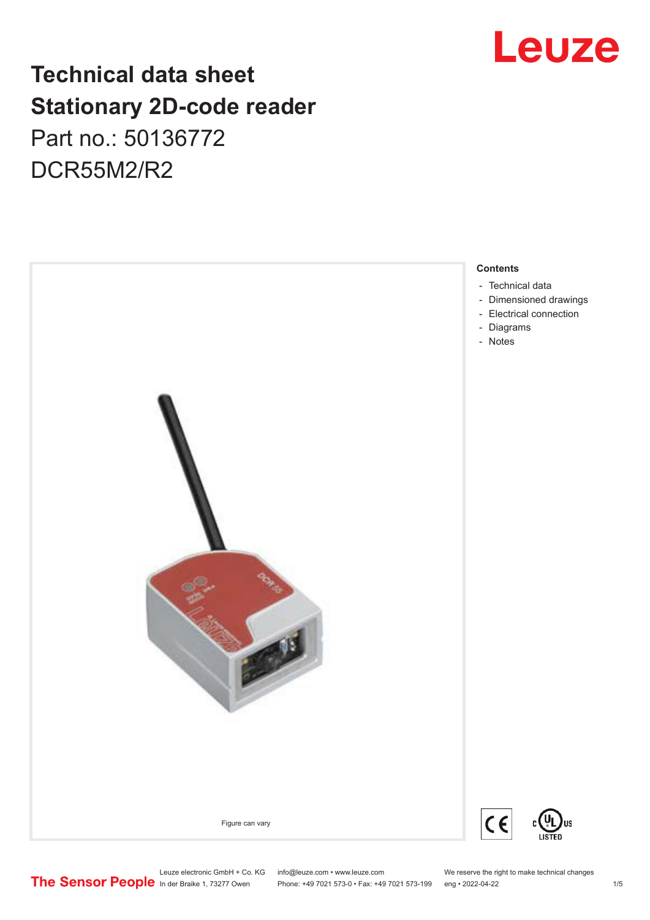# Leuze

# **Technical data sheet Stationary 2D-code reader** Part no.: 50136772 DCR55M2/R2



- [Dimensioned drawings](#page-2-0)
- 

Leuze electronic GmbH + Co. KG info@leuze.com • www.leuze.com We reserve the right to make technical changes<br> **The Sensor People** in der Braike 1, 73277 Owen Phone: +49 7021 573-0 • Fax: +49 7021 573-199 eng • 2022-04-22

Phone: +49 7021 573-0 • Fax: +49 7021 573-199 eng • 2022-04-22 1 75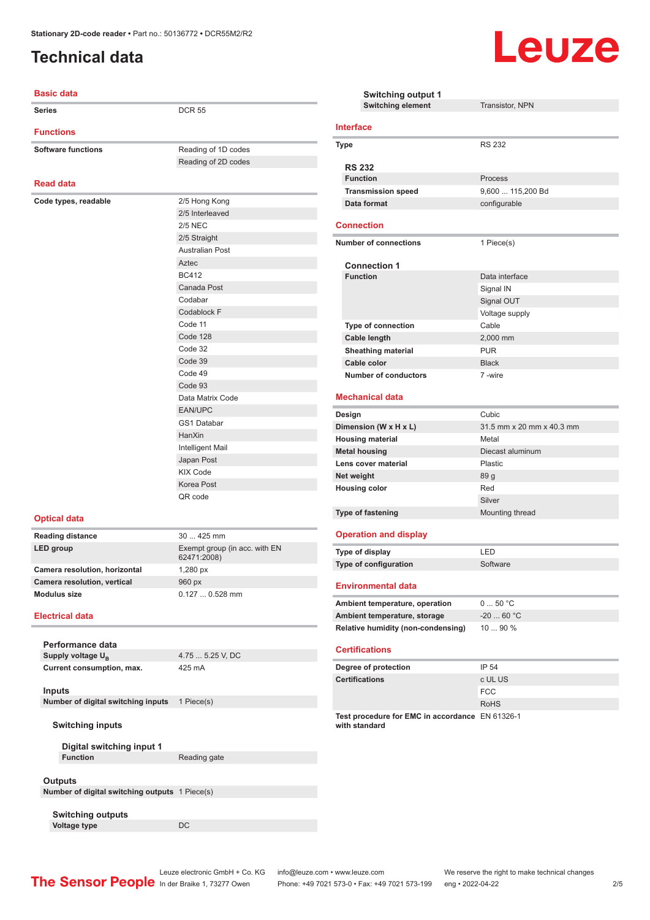# <span id="page-1-0"></span>**Technical data**



| <b>Basic data</b>                              |                                  | Swi                               |
|------------------------------------------------|----------------------------------|-----------------------------------|
| Series                                         | <b>DCR 55</b>                    | Swi                               |
| <b>Functions</b>                               |                                  | <b>Interface</b>                  |
| <b>Software functions</b>                      | Reading of 1D codes              | <b>Type</b>                       |
|                                                | Reading of 2D codes              |                                   |
|                                                |                                  | <b>RS 232</b>                     |
| <b>Read data</b>                               |                                  | <b>Function</b>                   |
|                                                |                                  | <b>Transmis</b>                   |
| Code types, readable                           | 2/5 Hong Kong<br>2/5 Interleaved | Data forn                         |
|                                                | <b>2/5 NEC</b>                   | <b>Connectio</b>                  |
|                                                | 2/5 Straight                     |                                   |
|                                                | <b>Australian Post</b>           | Number of                         |
|                                                | Aztec                            |                                   |
|                                                | <b>BC412</b>                     | Connec<br><b>Function</b>         |
|                                                | Canada Post                      |                                   |
|                                                | Codabar                          |                                   |
|                                                | Codablock F                      |                                   |
|                                                | Code 11                          | Type of c                         |
|                                                | Code 128                         | <b>Cable ler</b>                  |
|                                                | Code 32                          | <b>Sheathin</b>                   |
|                                                | Code 39                          | Cable co                          |
|                                                | Code 49                          | Number                            |
|                                                | Code 93                          |                                   |
|                                                | Data Matrix Code                 | <b>Mechanica</b>                  |
|                                                | <b>EAN/UPC</b>                   | Design                            |
|                                                | <b>GS1 Databar</b>               | Dimension                         |
|                                                | HanXin                           | <b>Housing ma</b>                 |
|                                                | Intelligent Mail                 | <b>Metal housi</b>                |
|                                                | Japan Post                       | Lens cover                        |
|                                                | <b>KIX Code</b>                  | Net weight                        |
|                                                | Korea Post                       | <b>Housing co</b>                 |
|                                                | QR code                          |                                   |
| <b>Optical data</b>                            |                                  | <b>Type of fast</b>               |
| Reading distance                               | 30  425 mm                       | <b>Operation</b>                  |
| LED group                                      | Exempt group (in acc. with EN    |                                   |
|                                                | 62471:2008)                      | Type of disp                      |
| Camera resolution, horizontal                  | 1,280 px                         | Type of con                       |
| Camera resolution, vertical                    | 960 px                           | <b>Environm</b>                   |
| <b>Modulus size</b>                            | $0.1270.528$ mm                  |                                   |
|                                                |                                  | <b>Ambient ter</b>                |
| Electrical data                                |                                  | <b>Ambient ter</b>                |
|                                                |                                  | Relative hu                       |
| Performance data                               |                                  | <b>Certification</b>              |
| Supply voltage U <sub>R</sub>                  | 4.75  5.25 V, DC                 |                                   |
| Current consumption, max.                      | 425 mA                           | Degree of p                       |
| <b>Inputs</b>                                  |                                  | Certification                     |
| Number of digital switching inputs             | 1 Piece(s)                       |                                   |
|                                                |                                  |                                   |
| <b>Switching inputs</b>                        |                                  | <b>Test proced</b><br>with standa |
|                                                |                                  |                                   |
| Digital switching input 1                      |                                  |                                   |
| <b>Function</b>                                | Reading gate                     |                                   |
| <b>Outputs</b>                                 |                                  |                                   |
| Number of digital switching outputs 1 Piece(s) |                                  |                                   |
|                                                |                                  |                                   |

|                      | <b>Switching output 1</b>                                        |                           |
|----------------------|------------------------------------------------------------------|---------------------------|
|                      | <b>Switching element</b>                                         | <b>Transistor, NPN</b>    |
|                      | <b>Interface</b>                                                 |                           |
|                      | Type                                                             | <b>RS 232</b>             |
|                      |                                                                  |                           |
|                      | <b>RS 232</b>                                                    |                           |
|                      | <b>Function</b>                                                  | Process                   |
|                      | <b>Transmission speed</b>                                        | 9,600  115,200 Bd         |
|                      | Data format                                                      | configurable              |
|                      | <b>Connection</b>                                                |                           |
|                      | <b>Number of connections</b>                                     | 1 Piece(s)                |
|                      |                                                                  |                           |
|                      | <b>Connection 1</b><br><b>Function</b>                           | Data interface            |
|                      |                                                                  |                           |
|                      |                                                                  | Signal IN                 |
|                      |                                                                  | Signal OUT                |
|                      |                                                                  | Voltage supply            |
|                      | <b>Type of connection</b>                                        | Cable                     |
|                      | <b>Cable length</b>                                              | 2,000 mm                  |
|                      | <b>Sheathing material</b>                                        | <b>PUR</b>                |
|                      | Cable color                                                      | <b>Black</b>              |
|                      | <b>Number of conductors</b>                                      | 7-wire                    |
|                      | <b>Mechanical data</b>                                           |                           |
|                      | Design                                                           | Cubic                     |
|                      | Dimension (W x H x L)                                            | 31.5 mm x 20 mm x 40.3 mm |
|                      | <b>Housing material</b>                                          | Metal                     |
|                      | <b>Metal housing</b>                                             | Diecast aluminum          |
|                      | Lens cover material                                              | Plastic                   |
| Net weight           |                                                                  | 89 g                      |
| <b>Housing color</b> |                                                                  | Red                       |
|                      |                                                                  | Silver                    |
|                      | Type of fastening                                                | Mounting thread           |
|                      | <b>Operation and display</b>                                     |                           |
|                      | Type of display                                                  | LED                       |
|                      | Type of configuration                                            | Software                  |
|                      | <b>Environmental data</b>                                        |                           |
|                      |                                                                  |                           |
|                      | Ambient temperature, operation                                   | 050 °C                    |
|                      | Ambient temperature, storage                                     | $-2060 °C$                |
|                      | <b>Relative humidity (non-condensing)</b>                        | 10  90 %                  |
|                      | <b>Certifications</b>                                            |                           |
|                      | Degree of protection                                             | IP 54                     |
|                      | <b>Certifications</b>                                            | c UL US                   |
|                      |                                                                  | <b>FCC</b>                |
|                      |                                                                  | RoHS                      |
|                      | Test procedure for EMC in accordance EN 61326-1<br>with standard |                           |
|                      |                                                                  |                           |

**Voltage type** DC

**Switching outputs**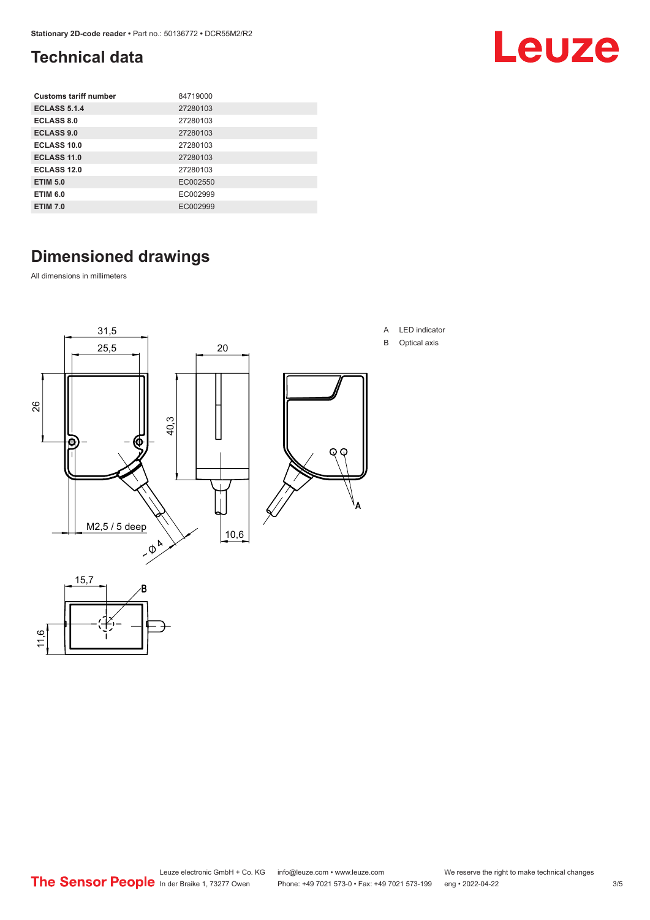# <span id="page-2-0"></span>**Technical data**

| <b>Customs tariff number</b> | 84719000 |
|------------------------------|----------|
| <b>ECLASS 5.1.4</b>          | 27280103 |
| <b>ECLASS 8.0</b>            | 27280103 |
| <b>ECLASS 9.0</b>            | 27280103 |
| ECLASS 10.0                  | 27280103 |
| <b>ECLASS 11.0</b>           | 27280103 |
| <b>ECLASS 12.0</b>           | 27280103 |
| <b>ETIM 5.0</b>              | EC002550 |
| <b>ETIM 6.0</b>              | EC002999 |
| <b>ETIM 7.0</b>              | EC002999 |

# **Dimensioned drawings**

All dimensions in millimeters

11,6



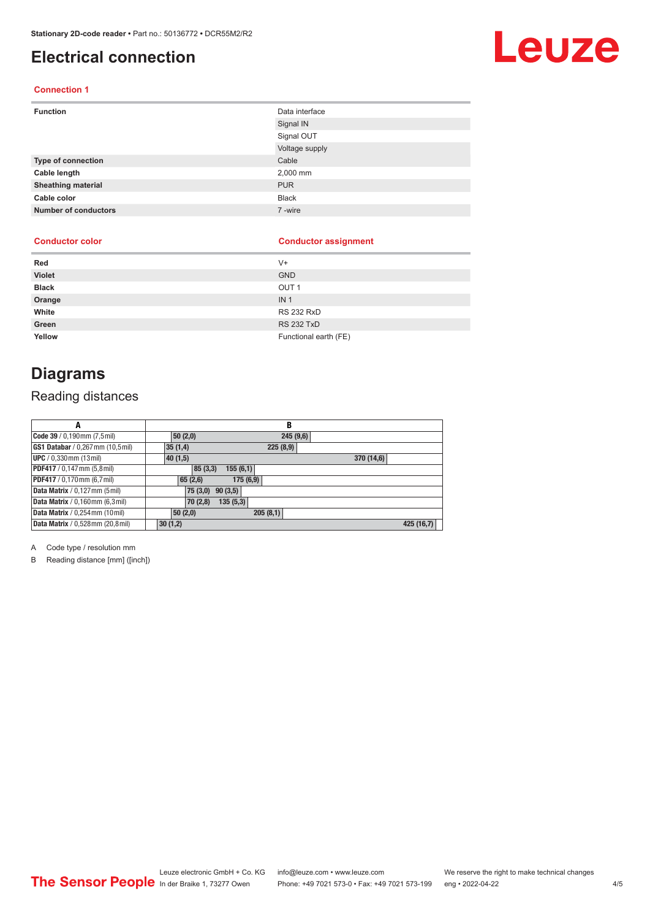## <span id="page-3-0"></span>**Electrical connection**

### **Connection 1**

| <b>Function</b>             | Data interface |
|-----------------------------|----------------|
|                             | Signal IN      |
|                             | Signal OUT     |
|                             | Voltage supply |
| Type of connection          | Cable          |
| Cable length                | 2,000 mm       |
| <b>Sheathing material</b>   | <b>PUR</b>     |
| Cable color                 | <b>Black</b>   |
| <b>Number of conductors</b> | 7-wire         |

### **Conductor color Conductor assignment**

| Red           | V+                    |
|---------------|-----------------------|
| <b>Violet</b> | <b>GND</b>            |
| <b>Black</b>  | OUT <sub>1</sub>      |
| Orange        | IN <sub>1</sub>       |
| White         | <b>RS 232 RxD</b>     |
| Green         | <b>RS 232 TxD</b>     |
| Yellow        | Functional earth (FE) |

### **Diagrams**

### Reading distances

| А                                      | В                   |            |
|----------------------------------------|---------------------|------------|
| Code 39 / 0,190mm (7,5mil)             | 245(9,6)<br>50(2,0) |            |
| GS1 Databar / 0,267 mm (10,5 mil)      | 225(8,9)<br>35(1,4) |            |
| <b>UPC</b> / 0,330 mm (13 mil)         | 40(1,5)             | 370 (14,6) |
| PDF417 / 0,147 mm (5,8 mil)            | 155(6,1)<br>85(3,3) |            |
| PDF417 / 0,170mm (6,7 mil)             | 175(6,9)<br>65(2,6) |            |
| Data Matrix / 0,127 mm (5 mil)         | 90(3,5)<br>75(3,0)  |            |
| <b>Data Matrix</b> / 0,160mm (6,3mil)  | 135(5,3)<br>70(2,8) |            |
| <b>Data Matrix</b> / 0,254 mm (10 mil) | 205(8,1)<br>50(2,0) |            |
| Data Matrix / 0,528mm (20,8mil)        | 30(1,2)             | 425 (16,7) |

A Code type / resolution mm

B Reading distance [mm] ([inch])

# Leuze